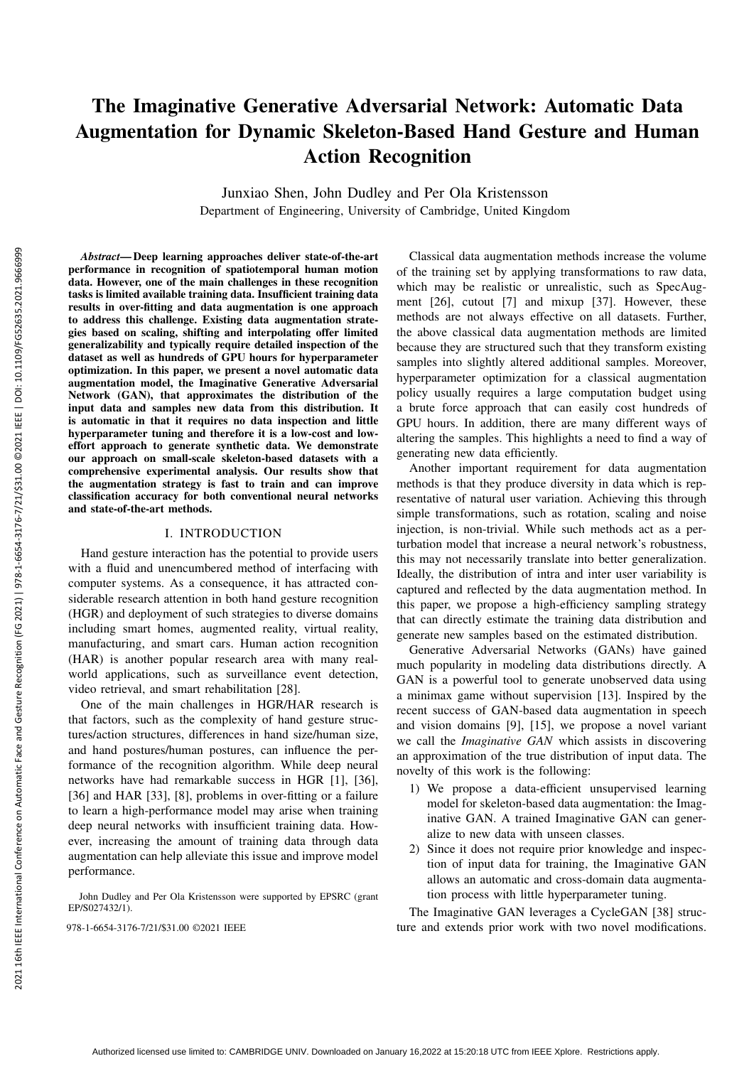# The Imaginative Generative Adversarial Network: Automatic Data Augmentation for Dynamic Skeleton-Based Hand Gesture and Human Action Recognition

Junxiao Shen, John Dudley and Per Ola Kristensson Department of Engineering, University of Cambridge, United Kingdom

*Abstract*— Deep learning approaches deliver state-of-the-art performance in recognition of spatiotemporal human motion data. However, one of the main challenges in these recognition tasks is limited available training data. Insufficient training data results in over-fitting and data augmentation is one approach to address this challenge. Existing data augmentation strategies based on scaling, shifting and interpolating offer limited generalizability and typically require detailed inspection of the dataset as well as hundreds of GPU hours for hyperparameter optimization. In this paper, we present a novel automatic data augmentation model, the Imaginative Generative Adversarial Network (GAN), that approximates the distribution of the input data and samples new data from this distribution. It is automatic in that it requires no data inspection and little hyperparameter tuning and therefore it is a low-cost and loweffort approach to generate synthetic data. We demonstrate our approach on small-scale skeleton-based datasets with a comprehensive experimental analysis. Our results show that the augmentation strategy is fast to train and can improve classification accuracy for both conventional neural networks and state-of-the-art methods.

# I. INTRODUCTION

Hand gesture interaction has the potential to provide users with a fluid and unencumbered method of interfacing with computer systems. As a consequence, it has attracted considerable research attention in both hand gesture recognition (HGR) and deployment of such strategies to diverse domains including smart homes, augmented reality, virtual reality, manufacturing, and smart cars. Human action recognition (HAR) is another popular research area with many realworld applications, such as surveillance event detection, video retrieval, and smart rehabilitation [28].

One of the main challenges in HGR/HAR research is that factors, such as the complexity of hand gesture structures/action structures, differences in hand size/human size, and hand postures/human postures, can influence the performance of the recognition algorithm. While deep neural networks have had remarkable success in HGR [1], [36], [36] and HAR [33], [8], problems in over-fitting or a failure to learn a high-performance model may arise when training deep neural networks with insufficient training data. However, increasing the amount of training data through data augmentation can help alleviate this issue and improve model performance.

John Dudley and Per Ola Kristensson were supported by EPSRC (grant EP/S027432/1).

Classical data augmentation methods increase the volume of the training set by applying transformations to raw data, which may be realistic or unrealistic, such as SpecAugment [26], cutout [7] and mixup [37]. However, these methods are not always effective on all datasets. Further, the above classical data augmentation methods are limited because they are structured such that they transform existing samples into slightly altered additional samples. Moreover, hyperparameter optimization for a classical augmentation policy usually requires a large computation budget using a brute force approach that can easily cost hundreds of GPU hours. In addition, there are many different ways of altering the samples. This highlights a need to find a way of generating new data efficiently.

Another important requirement for data augmentation methods is that they produce diversity in data which is representative of natural user variation. Achieving this through simple transformations, such as rotation, scaling and noise injection, is non-trivial. While such methods act as a perturbation model that increase a neural network's robustness, this may not necessarily translate into better generalization. Ideally, the distribution of intra and inter user variability is captured and reflected by the data augmentation method. In this paper, we propose a high-efficiency sampling strategy that can directly estimate the training data distribution and generate new samples based on the estimated distribution.

Generative Adversarial Networks (GANs) have gained much popularity in modeling data distributions directly. A GAN is a powerful tool to generate unobserved data using a minimax game without supervision [13]. Inspired by the recent success of GAN-based data augmentation in speech and vision domains [9], [15], we propose a novel variant we call the *Imaginative GAN* which assists in discovering an approximation of the true distribution of input data. The novelty of this work is the following:

- 1) We propose a data-efficient unsupervised learning model for skeleton-based data augmentation: the Imaginative GAN. A trained Imaginative GAN can generalize to new data with unseen classes.
- 2) Since it does not require prior knowledge and inspection of input data for training, the Imaginative GAN allows an automatic and cross-domain data augmentation process with little hyperparameter tuning.

The Imaginative GAN leverages a CycleGAN [38] struc-978-1-6654-3176-7/21/\$31.00 ©2021 IEEE ture and extends prior work with two novel modifications.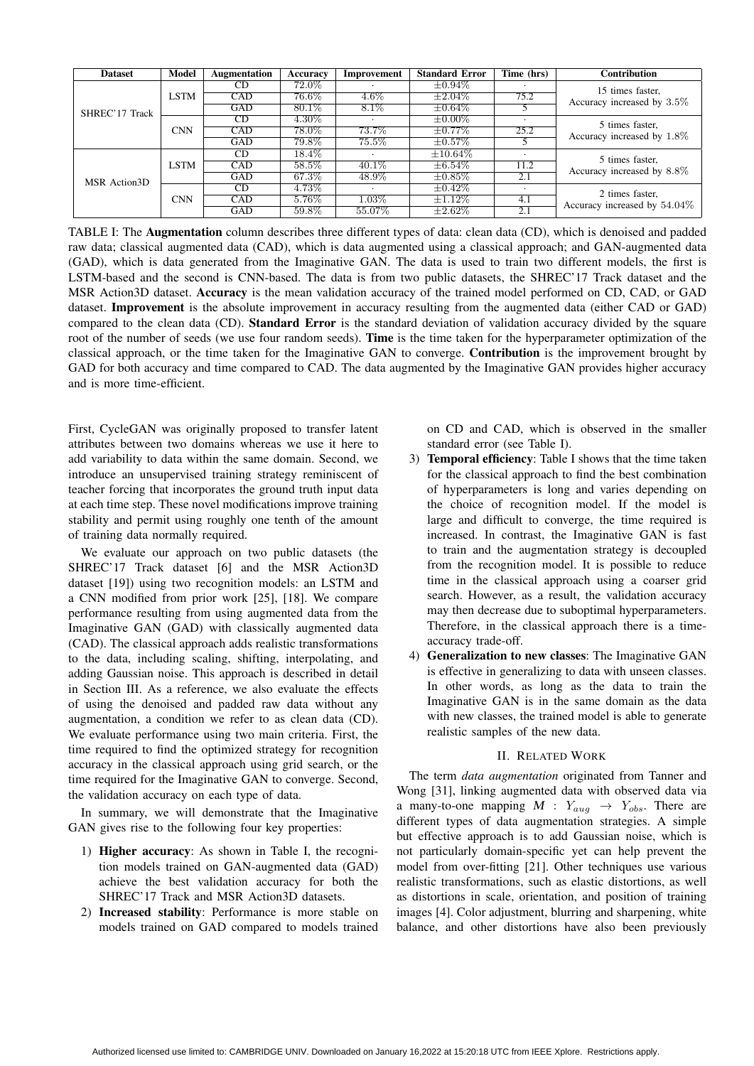| <b>Dataset</b> | Model       | <b>Augmentation</b> | Accuracy | Improvement | <b>Standard Error</b> | Time (hrs) | <b>Contribution</b>                              |  |
|----------------|-------------|---------------------|----------|-------------|-----------------------|------------|--------------------------------------------------|--|
| SHREC'17 Track | <b>LSTM</b> | CD.                 | 72.0%    |             | $\pm 0.94\%$          |            | 15 times faster,<br>Accuracy increased by 3.5%   |  |
|                |             | <b>CAD</b>          | $76.6\%$ | $4.6\%$     | $\pm 2.04\%$          | 75.2       |                                                  |  |
|                |             | GAD                 | $80.1\%$ | $8.1\%$     | $\pm 0.64\%$          |            |                                                  |  |
|                | <b>CNN</b>  | CD                  | $4.30\%$ |             | $\pm 0.00\%$          |            | 5 times faster,<br>Accuracy increased by 1.8%    |  |
|                |             | <b>CAD</b>          | 78.0%    | 73.7%       | $\pm 0.77\%$          | 25.2       |                                                  |  |
|                |             | <b>GAD</b>          | 79.8%    | $75.5\%$    | $\pm 0.57\%$          |            |                                                  |  |
| MSR Action3D   | <b>LSTM</b> | CD                  | $18.4\%$ |             | $\pm 10.64\%$         |            | 5 times faster,<br>Accuracy increased by 8.8%    |  |
|                |             | CAD                 | 58.5%    | $40.1\%$    | $\pm 6.54\%$          | 11.2       |                                                  |  |
|                |             | GAD                 | 67.3%    | 48.9%       | $\pm 0.85\%$          | 2.1        |                                                  |  |
|                | <b>CNN</b>  | CD                  | 4.73%    |             | $\pm 0.42\%$          |            | 2 times faster,<br>Accuracy increased by 54.04\% |  |
|                |             | CAD                 | 5.76%    | $1.03\%$    | $\pm 1.12\%$          | 4.1        |                                                  |  |
|                |             | GAD                 | $59.8\%$ | 55.07%      | $\pm 2.62\%$          | 2.1        |                                                  |  |

TABLE I: The Augmentation column describes three different types of data: clean data (CD), which is denoised and padded raw data; classical augmented data (CAD), which is data augmented using a classical approach; and GAN-augmented data (GAD), which is data generated from the Imaginative GAN. The data is used to train two different models, the first is LSTM-based and the second is CNN-based. The data is from two public datasets, the SHREC'17 Track dataset and the MSR Action3D dataset. Accuracy is the mean validation accuracy of the trained model performed on CD, CAD, or GAD dataset. Improvement is the absolute improvement in accuracy resulting from the augmented data (either CAD or GAD) compared to the clean data (CD). **Standard Error** is the standard deviation of validation accuracy divided by the square root of the number of seeds (we use four random seeds). **Time** is the time taken for the hyperparameter optimization of the classical approach, or the time taken for the Imaginative GAN to converge. Contribution is the improvement brought by GAD for both accuracy and time compared to CAD. The data augmented by the Imaginative GAN provides higher accuracy and is more time-efficient.

First, CycleGAN was originally proposed to transfer latent attributes between two domains whereas we use it here to add variability to data within the same domain. Second, we introduce an unsupervised training strategy reminiscent of teacher forcing that incorporates the ground truth input data at each time step. These novel modifications improve training stability and permit using roughly one tenth of the amount of training data normally required.

We evaluate our approach on two public datasets (the SHREC'17 Track dataset [6] and the MSR Action3D dataset [19]) using two recognition models: an LSTM and a CNN modified from prior work [25], [18]. We compare performance resulting from using augmented data from the Imaginative GAN (GAD) with classically augmented data (CAD). The classical approach adds realistic transformations to the data, including scaling, shifting, interpolating, and adding Gaussian noise. This approach is described in detail in Section III. As a reference, we also evaluate the effects of using the denoised and padded raw data without any augmentation, a condition we refer to as clean data (CD). We evaluate performance using two main criteria. First, the time required to find the optimized strategy for recognition accuracy in the classical approach using grid search, or the time required for the Imaginative GAN to converge. Second, the validation accuracy on each type of data.

In summary, we will demonstrate that the Imaginative GAN gives rise to the following four key properties:

- 1) Higher accuracy: As shown in Table I, the recognition models trained on GAN-augmented data (GAD) achieve the best validation accuracy for both the SHREC'17 Track and MSR Action3D datasets.
- 2) Increased stability: Performance is more stable on models trained on GAD compared to models trained

on CD and CAD, which is observed in the smaller standard error (see Table I).

- 3) Temporal efficiency: Table I shows that the time taken for the classical approach to find the best combination of hyperparameters is long and varies depending on the choice of recognition model. If the model is large and difficult to converge, the time required is increased. In contrast, the Imaginative GAN is fast to train and the augmentation strategy is decoupled from the recognition model. It is possible to reduce time in the classical approach using a coarser grid search. However, as a result, the validation accuracy may then decrease due to suboptimal hyperparameters. Therefore, in the classical approach there is a timeaccuracy trade-off.
- 4) Generalization to new classes: The Imaginative GAN is effective in generalizing to data with unseen classes. In other words, as long as the data to train the Imaginative GAN is in the same domain as the data with new classes, the trained model is able to generate realistic samples of the new data.

## II. RELATED WORK

The term *data augmentation* originated from Tanner and Wong [31], linking augmented data with observed data via a many-to-one mapping  $M : Y_{aug} \rightarrow Y_{obs}$ . There are different types of data augmentation strategies. A simple but effective approach is to add Gaussian noise, which is not particularly domain-specific yet can help prevent the model from over-fitting [21]. Other techniques use various realistic transformations, such as elastic distortions, as well as distortions in scale, orientation, and position of training images [4]. Color adjustment, blurring and sharpening, white balance, and other distortions have also been previously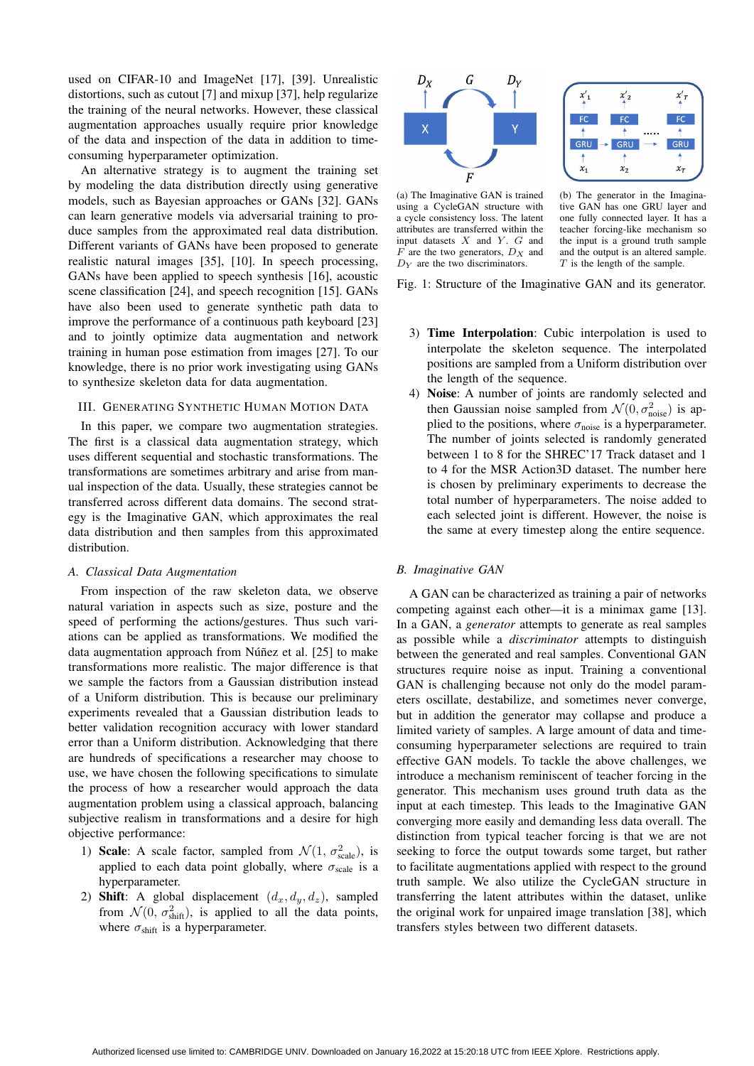used on CIFAR-10 and ImageNet [17], [39]. Unrealistic distortions, such as cutout [7] and mixup [37], help regularize the training of the neural networks. However, these classical augmentation approaches usually require prior knowledge of the data and inspection of the data in addition to timeconsuming hyperparameter optimization.

An alternative strategy is to augment the training set by modeling the data distribution directly using generative models, such as Bayesian approaches or GANs [32]. GANs can learn generative models via adversarial training to produce samples from the approximated real data distribution. Different variants of GANs have been proposed to generate realistic natural images [35], [10]. In speech processing, GANs have been applied to speech synthesis [16], acoustic scene classification [24], and speech recognition [15]. GANs have also been used to generate synthetic path data to improve the performance of a continuous path keyboard [23] and to jointly optimize data augmentation and network training in human pose estimation from images [27]. To our knowledge, there is no prior work investigating using GANs to synthesize skeleton data for data augmentation.

## III. GENERATING SYNTHETIC HUMAN MOTION DATA

In this paper, we compare two augmentation strategies. The first is a classical data augmentation strategy, which uses different sequential and stochastic transformations. The transformations are sometimes arbitrary and arise from manual inspection of the data. Usually, these strategies cannot be transferred across different data domains. The second strategy is the Imaginative GAN, which approximates the real data distribution and then samples from this approximated distribution.

#### *A. Classical Data Augmentation*

From inspection of the raw skeleton data, we observe natural variation in aspects such as size, posture and the speed of performing the actions/gestures. Thus such variations can be applied as transformations. We modified the data augmentation approach from Núñez et al. [25] to make transformations more realistic. The major difference is that we sample the factors from a Gaussian distribution instead of a Uniform distribution. This is because our preliminary experiments revealed that a Gaussian distribution leads to better validation recognition accuracy with lower standard error than a Uniform distribution. Acknowledging that there are hundreds of specifications a researcher may choose to use, we have chosen the following specifications to simulate the process of how a researcher would approach the data augmentation problem using a classical approach, balancing subjective realism in transformations and a desire for high objective performance:

- 1) Scale: A scale factor, sampled from  $\mathcal{N}(1, \sigma_{scale}^2)$ , is applied to each data point globally, where  $\sigma_{\text{scale}}$  is a hyperparameter.
- 2) Shift: A global displacement  $(d_x, d_y, d_z)$ , sampled from  $\mathcal{N}(0, \sigma_{\text{shift}}^2)$ , is applied to all the data points, where  $\sigma_{\text{shift}}$  is a hyperparameter.



(a) The Imaginative GAN is trained using a CycleGAN structure with a cycle consistency loss. The latent attributes are transferred within the input datasets  $X$  and  $Y$ .  $G$  and  $F$  are the two generators,  $D_X$  and  $D<sub>Y</sub>$  are the two discriminators.

(b) The generator in the Imaginative GAN has one GRU layer and one fully connected layer. It has a teacher forcing-like mechanism so the input is a ground truth sample and the output is an altered sample.  $T$  is the length of the sample.

**GRI** 

 $x_1$ 

- Fig. 1: Structure of the Imaginative GAN and its generator.
	- 3) Time Interpolation: Cubic interpolation is used to interpolate the skeleton sequence. The interpolated positions are sampled from a Uniform distribution over the length of the sequence.
	- 4) Noise: A number of joints are randomly selected and then Gaussian noise sampled from  $\mathcal{N}(0, \sigma_{\text{noise}}^2)$  is applied to the positions, where  $\sigma_{\text{noise}}$  is a hyperparameter. The number of joints selected is randomly generated between 1 to 8 for the SHREC'17 Track dataset and 1 to 4 for the MSR Action3D dataset. The number here is chosen by preliminary experiments to decrease the total number of hyperparameters. The noise added to each selected joint is different. However, the noise is the same at every timestep along the entire sequence.

#### *B. Imaginative GAN*

A GAN can be characterized as training a pair of networks competing against each other—it is a minimax game [13]. In a GAN, a *generator* attempts to generate as real samples as possible while a *discriminator* attempts to distinguish between the generated and real samples. Conventional GAN structures require noise as input. Training a conventional GAN is challenging because not only do the model parameters oscillate, destabilize, and sometimes never converge, but in addition the generator may collapse and produce a limited variety of samples. A large amount of data and timeconsuming hyperparameter selections are required to train effective GAN models. To tackle the above challenges, we introduce a mechanism reminiscent of teacher forcing in the generator. This mechanism uses ground truth data as the input at each timestep. This leads to the Imaginative GAN converging more easily and demanding less data overall. The distinction from typical teacher forcing is that we are not seeking to force the output towards some target, but rather to facilitate augmentations applied with respect to the ground truth sample. We also utilize the CycleGAN structure in transferring the latent attributes within the dataset, unlike the original work for unpaired image translation [38], which transfers styles between two different datasets.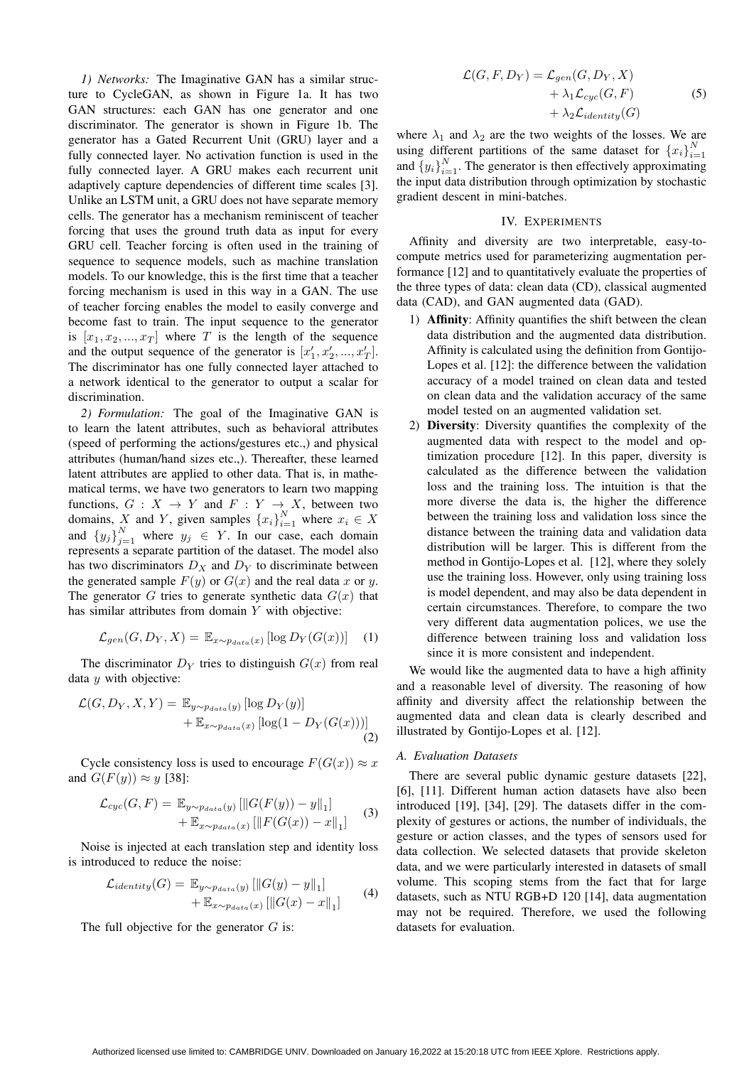*1) Networks:* The Imaginative GAN has a similar structure to CycleGAN, as shown in Figure 1a. It has two GAN structures: each GAN has one generator and one discriminator. The generator is shown in Figure 1b. The generator has a Gated Recurrent Unit (GRU) layer and a fully connected layer. No activation function is used in the fully connected layer. A GRU makes each recurrent unit adaptively capture dependencies of different time scales [3]. Unlike an LSTM unit, a GRU does not have separate memory cells. The generator has a mechanism reminiscent of teacher forcing that uses the ground truth data as input for every GRU cell. Teacher forcing is often used in the training of sequence to sequence models, such as machine translation models. To our knowledge, this is the first time that a teacher forcing mechanism is used in this way in a GAN. The use of teacher forcing enables the model to easily converge and become fast to train. The input sequence to the generator is  $[x_1, x_2, ..., x_T]$  where T is the length of the sequence and the output sequence of the generator is  $[x'_1, x'_2, ..., x'_T]$ . The discriminator has one fully connected layer attached to a network identical to the generator to output a scalar for discrimination.

*2) Formulation:* The goal of the Imaginative GAN is to learn the latent attributes, such as behavioral attributes (speed of performing the actions/gestures etc.,) and physical attributes (human/hand sizes etc.,). Thereafter, these learned latent attributes are applied to other data. That is, in mathematical terms, we have two generators to learn two mapping functions,  $G: X \to Y$  and  $F: Y \to X$ , between two domains, X and Y, given samples  $\{x_i\}_{i=1}^N$  where  $x_i \in X$ and  ${y_j}_{j=1}^N$  where  $y_j \in Y$ . In our case, each domain represents a separate partition of the dataset. The model also has two discriminators  $D_X$  and  $D_Y$  to discriminate between the generated sample  $F(y)$  or  $G(x)$  and the real data x or y. The generator G tries to generate synthetic data  $G(x)$  that has similar attributes from domain Y with objective:

$$
\mathcal{L}_{gen}(G, D_Y, X) = \mathbb{E}_{x \sim p_{data}(x)} \left[ \log D_Y(G(x)) \right] \quad (1)
$$

The discriminator  $D<sub>Y</sub>$  tries to distinguish  $G(x)$  from real data  *with objective:* 

$$
\mathcal{L}(G, D_Y, X, Y) = \mathbb{E}_{y \sim p_{data}(y)} [\log D_Y(y)] + \mathbb{E}_{x \sim p_{data}(x)} [\log(1 - D_Y(G(x)))]
$$
\n(2)

Cycle consistency loss is used to encourage  $F(G(x)) \approx x$ and  $G(F(y)) \approx y$  [38]:

$$
\mathcal{L}_{cyc}(G, F) = \mathbb{E}_{y \sim p_{data}(y)} [||G(F(y)) - y||_1] + \mathbb{E}_{x \sim p_{data}(x)} [||F(G(x)) - x||_1]
$$
(3)

Noise is injected at each translation step and identity loss is introduced to reduce the noise:

$$
\mathcal{L}_{identity}(G) = \mathbb{E}_{y \sim p_{data}(y)} [\|G(y) - y\|_1] + \mathbb{E}_{x \sim p_{data}(x)} [\|G(x) - x\|_1]
$$
 (4)

The full objective for the generator  $G$  is:

$$
\mathcal{L}(G, F, D_Y) = \mathcal{L}_{gen}(G, D_Y, X)
$$
  
+  $\lambda_1 \mathcal{L}_{cyc}(G, F)$   
+  $\lambda_2 \mathcal{L}_{identity}(G)$  (5)

where  $\lambda_1$  and  $\lambda_2$  are the two weights of the losses. We are using different partitions of the same dataset for  ${x_i}_{i=1}^N$ and  ${y_i}_{i=1}^N$ . The generator is then effectively approximating the input data distribution through optimization by stochastic gradient descent in mini-batches.

## IV. EXPERIMENTS

Affinity and diversity are two interpretable, easy-tocompute metrics used for parameterizing augmentation performance [12] and to quantitatively evaluate the properties of the three types of data: clean data (CD), classical augmented data (CAD), and GAN augmented data (GAD).

- 1) Affinity: Affinity quantifies the shift between the clean data distribution and the augmented data distribution. Affinity is calculated using the definition from Gontijo-Lopes et al. [12]: the difference between the validation accuracy of a model trained on clean data and tested on clean data and the validation accuracy of the same model tested on an augmented validation set.
- 2) Diversity: Diversity quantifies the complexity of the augmented data with respect to the model and optimization procedure [12]. In this paper, diversity is calculated as the difference between the validation loss and the training loss. The intuition is that the more diverse the data is, the higher the difference between the training loss and validation loss since the distance between the training data and validation data distribution will be larger. This is different from the method in Gontijo-Lopes et al. [12], where they solely use the training loss. However, only using training loss is model dependent, and may also be data dependent in certain circumstances. Therefore, to compare the two very different data augmentation polices, we use the difference between training loss and validation loss since it is more consistent and independent.

We would like the augmented data to have a high affinity and a reasonable level of diversity. The reasoning of how affinity and diversity affect the relationship between the augmented data and clean data is clearly described and illustrated by Gontijo-Lopes et al. [12].

## *A. Evaluation Datasets*

There are several public dynamic gesture datasets [22], [6], [11]. Different human action datasets have also been introduced [19], [34], [29]. The datasets differ in the complexity of gestures or actions, the number of individuals, the gesture or action classes, and the types of sensors used for data collection. We selected datasets that provide skeleton data, and we were particularly interested in datasets of small volume. This scoping stems from the fact that for large datasets, such as NTU RGB+D 120 [14], data augmentation may not be required. Therefore, we used the following datasets for evaluation.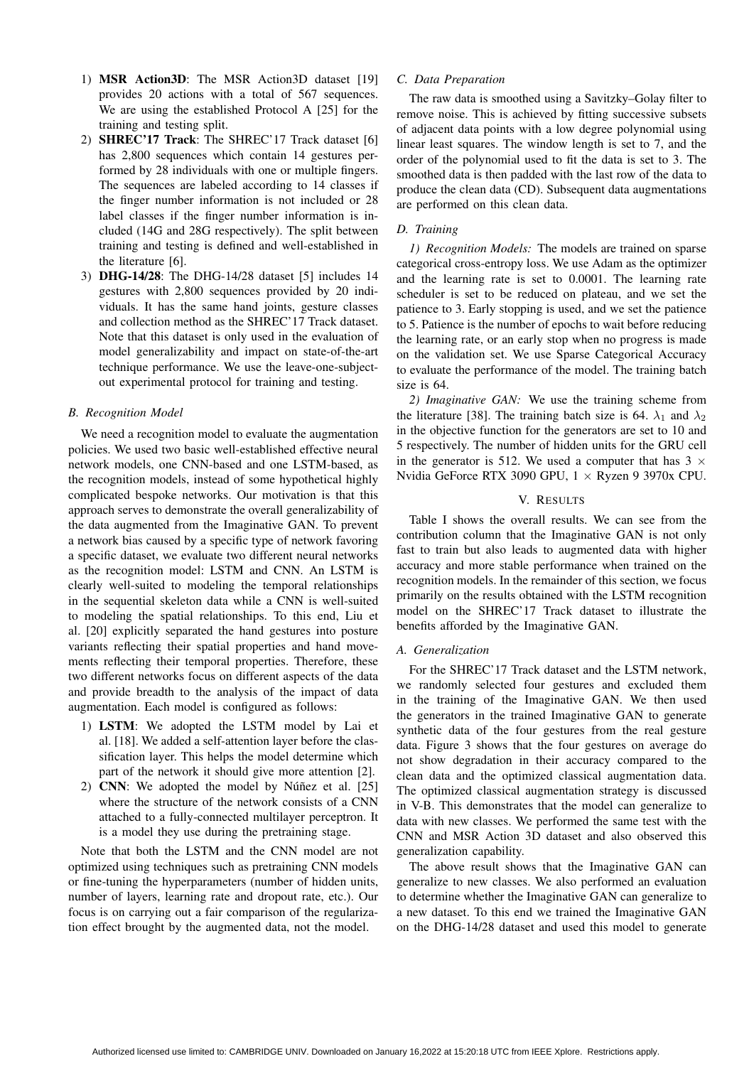- 1) MSR Action3D: The MSR Action3D dataset [19] provides 20 actions with a total of 567 sequences. We are using the established Protocol A [25] for the training and testing split.
- 2) SHREC'17 Track: The SHREC'17 Track dataset [6] has 2,800 sequences which contain 14 gestures performed by 28 individuals with one or multiple fingers. The sequences are labeled according to 14 classes if the finger number information is not included or 28 label classes if the finger number information is included (14G and 28G respectively). The split between training and testing is defined and well-established in the literature [6].
- 3) DHG-14/28: The DHG-14/28 dataset [5] includes 14 gestures with 2,800 sequences provided by 20 individuals. It has the same hand joints, gesture classes and collection method as the SHREC'17 Track dataset. Note that this dataset is only used in the evaluation of model generalizability and impact on state-of-the-art technique performance. We use the leave-one-subjectout experimental protocol for training and testing.

## *B. Recognition Model*

We need a recognition model to evaluate the augmentation policies. We used two basic well-established effective neural network models, one CNN-based and one LSTM-based, as the recognition models, instead of some hypothetical highly complicated bespoke networks. Our motivation is that this approach serves to demonstrate the overall generalizability of the data augmented from the Imaginative GAN. To prevent a network bias caused by a specific type of network favoring a specific dataset, we evaluate two different neural networks as the recognition model: LSTM and CNN. An LSTM is clearly well-suited to modeling the temporal relationships in the sequential skeleton data while a CNN is well-suited to modeling the spatial relationships. To this end, Liu et al. [20] explicitly separated the hand gestures into posture variants reflecting their spatial properties and hand movements reflecting their temporal properties. Therefore, these two different networks focus on different aspects of the data and provide breadth to the analysis of the impact of data augmentation. Each model is configured as follows:

- 1) LSTM: We adopted the LSTM model by Lai et al. [18]. We added a self-attention layer before the classification layer. This helps the model determine which part of the network it should give more attention [2].
- 2) CNN: We adopted the model by Núñez et al.  $[25]$ where the structure of the network consists of a CNN attached to a fully-connected multilayer perceptron. It is a model they use during the pretraining stage.

Note that both the LSTM and the CNN model are not optimized using techniques such as pretraining CNN models or fine-tuning the hyperparameters (number of hidden units, number of layers, learning rate and dropout rate, etc.). Our focus is on carrying out a fair comparison of the regularization effect brought by the augmented data, not the model.

## *C. Data Preparation*

The raw data is smoothed using a Savitzky–Golay filter to remove noise. This is achieved by fitting successive subsets of adjacent data points with a low degree polynomial using linear least squares. The window length is set to 7, and the order of the polynomial used to fit the data is set to 3. The smoothed data is then padded with the last row of the data to produce the clean data (CD). Subsequent data augmentations are performed on this clean data.

## *D. Training*

*1) Recognition Models:* The models are trained on sparse categorical cross-entropy loss. We use Adam as the optimizer and the learning rate is set to 0.0001. The learning rate scheduler is set to be reduced on plateau, and we set the patience to 3. Early stopping is used, and we set the patience to 5. Patience is the number of epochs to wait before reducing the learning rate, or an early stop when no progress is made on the validation set. We use Sparse Categorical Accuracy to evaluate the performance of the model. The training batch size is 64.

*2) Imaginative GAN:* We use the training scheme from the literature [38]. The training batch size is 64.  $\lambda_1$  and  $\lambda_2$ in the objective function for the generators are set to 10 and 5 respectively. The number of hidden units for the GRU cell in the generator is 512. We used a computer that has  $3 \times$ Nvidia GeForce RTX 3090 GPU, 1 × Ryzen 9 3970x CPU.

#### V. RESULTS

Table I shows the overall results. We can see from the contribution column that the Imaginative GAN is not only fast to train but also leads to augmented data with higher accuracy and more stable performance when trained on the recognition models. In the remainder of this section, we focus primarily on the results obtained with the LSTM recognition model on the SHREC'17 Track dataset to illustrate the benefits afforded by the Imaginative GAN.

## *A. Generalization*

For the SHREC'17 Track dataset and the LSTM network, we randomly selected four gestures and excluded them in the training of the Imaginative GAN. We then used the generators in the trained Imaginative GAN to generate synthetic data of the four gestures from the real gesture data. Figure 3 shows that the four gestures on average do not show degradation in their accuracy compared to the clean data and the optimized classical augmentation data. The optimized classical augmentation strategy is discussed in V-B. This demonstrates that the model can generalize to data with new classes. We performed the same test with the CNN and MSR Action 3D dataset and also observed this generalization capability.

The above result shows that the Imaginative GAN can generalize to new classes. We also performed an evaluation to determine whether the Imaginative GAN can generalize to a new dataset. To this end we trained the Imaginative GAN on the DHG-14/28 dataset and used this model to generate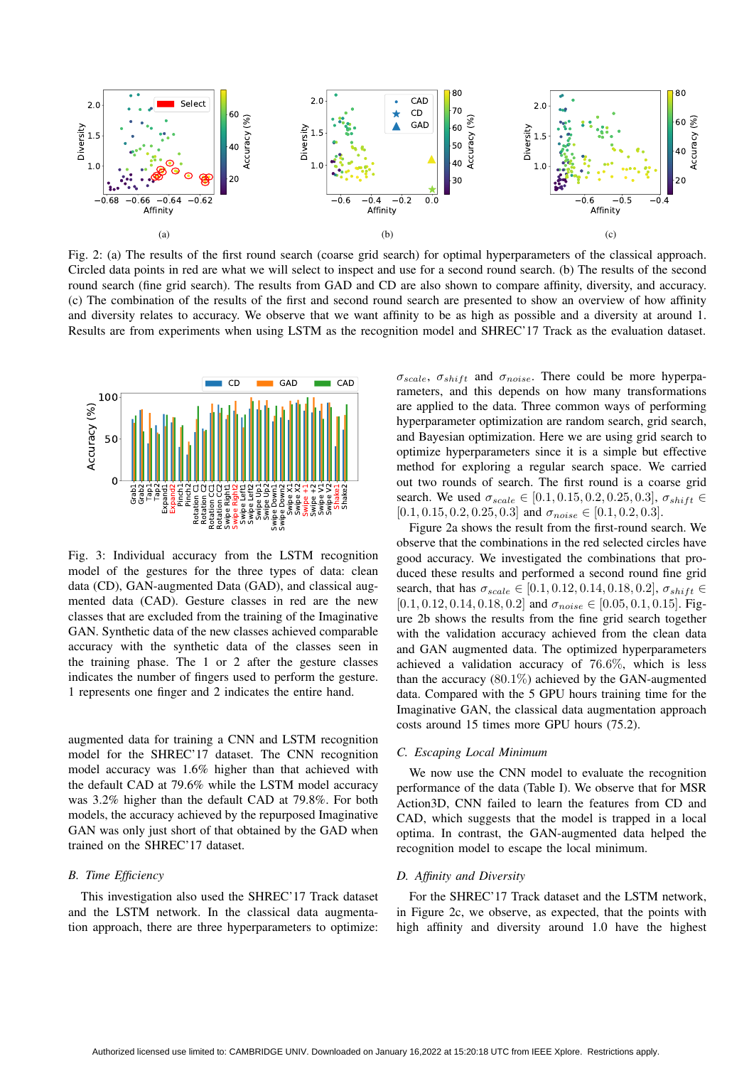

Fig. 2: (a) The results of the first round search (coarse grid search) for optimal hyperparameters of the classical approach. Circled data points in red are what we will select to inspect and use for a second round search. (b) The results of the second round search (fine grid search). The results from GAD and CD are also shown to compare affinity, diversity, and accuracy. (c) The combination of the results of the first and second round search are presented to show an overview of how affinity and diversity relates to accuracy. We observe that we want affinity to be as high as possible and a diversity at around 1. Results are from experiments when using LSTM as the recognition model and SHREC'17 Track as the evaluation dataset.



Fig. 3: Individual accuracy from the LSTM recognition model of the gestures for the three types of data: clean data (CD), GAN-augmented Data (GAD), and classical augmented data (CAD). Gesture classes in red are the new classes that are excluded from the training of the Imaginative GAN. Synthetic data of the new classes achieved comparable accuracy with the synthetic data of the classes seen in the training phase. The 1 or 2 after the gesture classes indicates the number of fingers used to perform the gesture. 1 represents one finger and 2 indicates the entire hand.

augmented data for training a CNN and LSTM recognition model for the SHREC'17 dataset. The CNN recognition model accuracy was 1.6% higher than that achieved with the default CAD at 79.6% while the LSTM model accuracy was 3.2% higher than the default CAD at 79.8%. For both models, the accuracy achieved by the repurposed Imaginative GAN was only just short of that obtained by the GAD when trained on the SHREC'17 dataset.

#### *B. Time Efficiency*

This investigation also used the SHREC'17 Track dataset and the LSTM network. In the classical data augmentation approach, there are three hyperparameters to optimize:  $\sigma_{scale}$ ,  $\sigma_{shift}$  and  $\sigma_{noise}$ . There could be more hyperparameters, and this depends on how many transformations are applied to the data. Three common ways of performing hyperparameter optimization are random search, grid search, and Bayesian optimization. Here we are using grid search to optimize hyperparameters since it is a simple but effective method for exploring a regular search space. We carried out two rounds of search. The first round is a coarse grid search. We used  $\sigma_{scale} \in [0.1, 0.15, 0.2, 0.25, 0.3], \sigma_{shift} \in$  $[0.1, 0.15, 0.2, 0.25, 0.3]$  and  $\sigma_{noise} \in [0.1, 0.2, 0.3]$ .

Figure 2a shows the result from the first-round search. We observe that the combinations in the red selected circles have good accuracy. We investigated the combinations that produced these results and performed a second round fine grid search, that has  $\sigma_{scale} \in [0.1, 0.12, 0.14, 0.18, 0.2], \sigma_{shift} \in$  $[0.1, 0.12, 0.14, 0.18, 0.2]$  and  $\sigma_{noise} \in [0.05, 0.1, 0.15]$ . Figure 2b shows the results from the fine grid search together with the validation accuracy achieved from the clean data and GAN augmented data. The optimized hyperparameters achieved a validation accuracy of 76.6%, which is less than the accuracy  $(80.1\%)$  achieved by the GAN-augmented data. Compared with the 5 GPU hours training time for the Imaginative GAN, the classical data augmentation approach costs around 15 times more GPU hours (75.2).

## *C. Escaping Local Minimum*

We now use the CNN model to evaluate the recognition performance of the data (Table I). We observe that for MSR Action3D, CNN failed to learn the features from CD and CAD, which suggests that the model is trapped in a local optima. In contrast, the GAN-augmented data helped the recognition model to escape the local minimum.

#### *D. Affinity and Diversity*

For the SHREC'17 Track dataset and the LSTM network, in Figure 2c, we observe, as expected, that the points with high affinity and diversity around 1.0 have the highest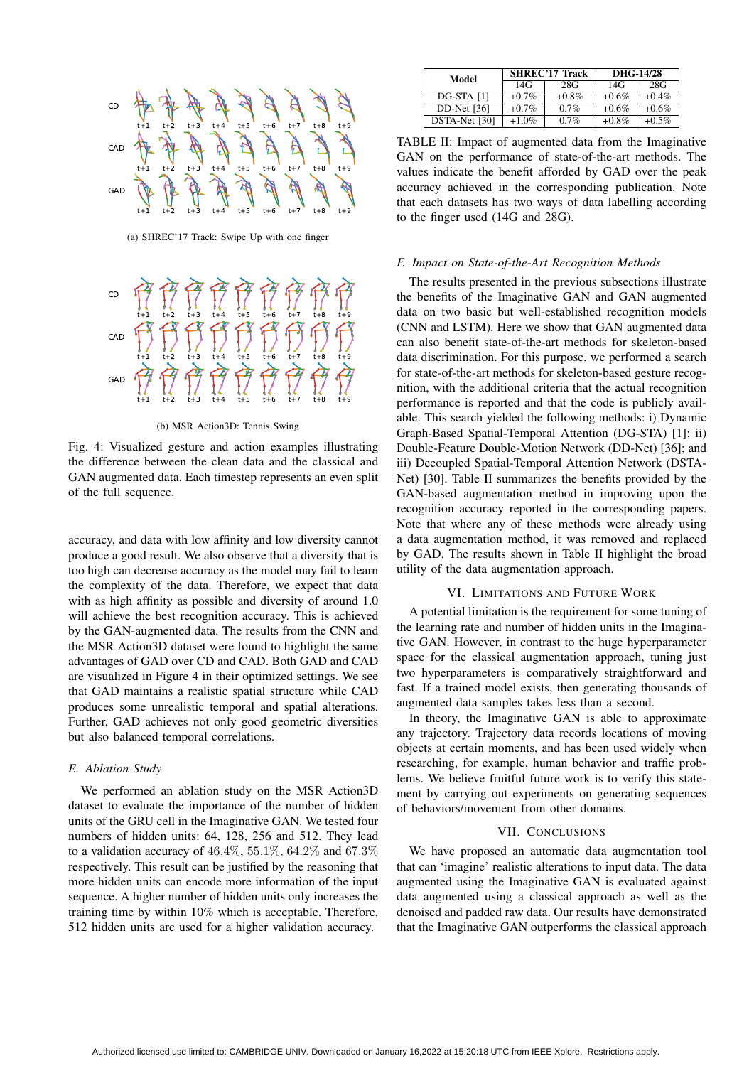

(a) SHREC'17 Track: Swipe Up with one finger



(b) MSR Action3D: Tennis Swing

Fig. 4: Visualized gesture and action examples illustrating the difference between the clean data and the classical and GAN augmented data. Each timestep represents an even split of the full sequence.

accuracy, and data with low affinity and low diversity cannot produce a good result. We also observe that a diversity that is too high can decrease accuracy as the model may fail to learn the complexity of the data. Therefore, we expect that data with as high affinity as possible and diversity of around 1.0 will achieve the best recognition accuracy. This is achieved by the GAN-augmented data. The results from the CNN and the MSR Action3D dataset were found to highlight the same advantages of GAD over CD and CAD. Both GAD and CAD are visualized in Figure 4 in their optimized settings. We see that GAD maintains a realistic spatial structure while CAD produces some unrealistic temporal and spatial alterations. Further, GAD achieves not only good geometric diversities but also balanced temporal correlations.

## *E. Ablation Study*

We performed an ablation study on the MSR Action3D dataset to evaluate the importance of the number of hidden units of the GRU cell in the Imaginative GAN. We tested four numbers of hidden units: 64, 128, 256 and 512. They lead to a validation accuracy of  $46.4\%, 55.1\%, 64.2\%$  and  $67.3\%$ respectively. This result can be justified by the reasoning that more hidden units can encode more information of the input sequence. A higher number of hidden units only increases the training time by within 10% which is acceptable. Therefore, 512 hidden units are used for a higher validation accuracy.

| Model         |          | <b>SHREC'17 Track</b> | DHG-14/28 |          |  |
|---------------|----------|-----------------------|-----------|----------|--|
|               | 14G      | 28G                   | 14G       | 28G      |  |
| DG-STA [1]    | $+0.7\%$ | $+0.8\%$              | $+0.6\%$  | $+0.4\%$ |  |
| $DD-Net$ [36] | $+0.7\%$ | 0.7%                  | $+0.6\%$  | $+0.6\%$ |  |
| DSTA-Net [30] | $+1.0\%$ | 0.7%                  | $+0.8\%$  | $+0.5\%$ |  |

TABLE II: Impact of augmented data from the Imaginative GAN on the performance of state-of-the-art methods. The values indicate the benefit afforded by GAD over the peak accuracy achieved in the corresponding publication. Note that each datasets has two ways of data labelling according to the finger used (14G and 28G).

## *F. Impact on State-of-the-Art Recognition Methods*

The results presented in the previous subsections illustrate the benefits of the Imaginative GAN and GAN augmented data on two basic but well-established recognition models (CNN and LSTM). Here we show that GAN augmented data can also benefit state-of-the-art methods for skeleton-based data discrimination. For this purpose, we performed a search for state-of-the-art methods for skeleton-based gesture recognition, with the additional criteria that the actual recognition performance is reported and that the code is publicly available. This search yielded the following methods: i) Dynamic Graph-Based Spatial-Temporal Attention (DG-STA) [1]; ii) Double-Feature Double-Motion Network (DD-Net) [36]; and iii) Decoupled Spatial-Temporal Attention Network (DSTA-Net) [30]. Table II summarizes the benefits provided by the GAN-based augmentation method in improving upon the recognition accuracy reported in the corresponding papers. Note that where any of these methods were already using a data augmentation method, it was removed and replaced by GAD. The results shown in Table II highlight the broad utility of the data augmentation approach.

#### VI. LIMITATIONS AND FUTURE WORK

A potential limitation is the requirement for some tuning of the learning rate and number of hidden units in the Imaginative GAN. However, in contrast to the huge hyperparameter space for the classical augmentation approach, tuning just two hyperparameters is comparatively straightforward and fast. If a trained model exists, then generating thousands of augmented data samples takes less than a second.

In theory, the Imaginative GAN is able to approximate any trajectory. Trajectory data records locations of moving objects at certain moments, and has been used widely when researching, for example, human behavior and traffic problems. We believe fruitful future work is to verify this statement by carrying out experiments on generating sequences of behaviors/movement from other domains.

## VII. CONCLUSIONS

We have proposed an automatic data augmentation tool that can 'imagine' realistic alterations to input data. The data augmented using the Imaginative GAN is evaluated against data augmented using a classical approach as well as the denoised and padded raw data. Our results have demonstrated that the Imaginative GAN outperforms the classical approach